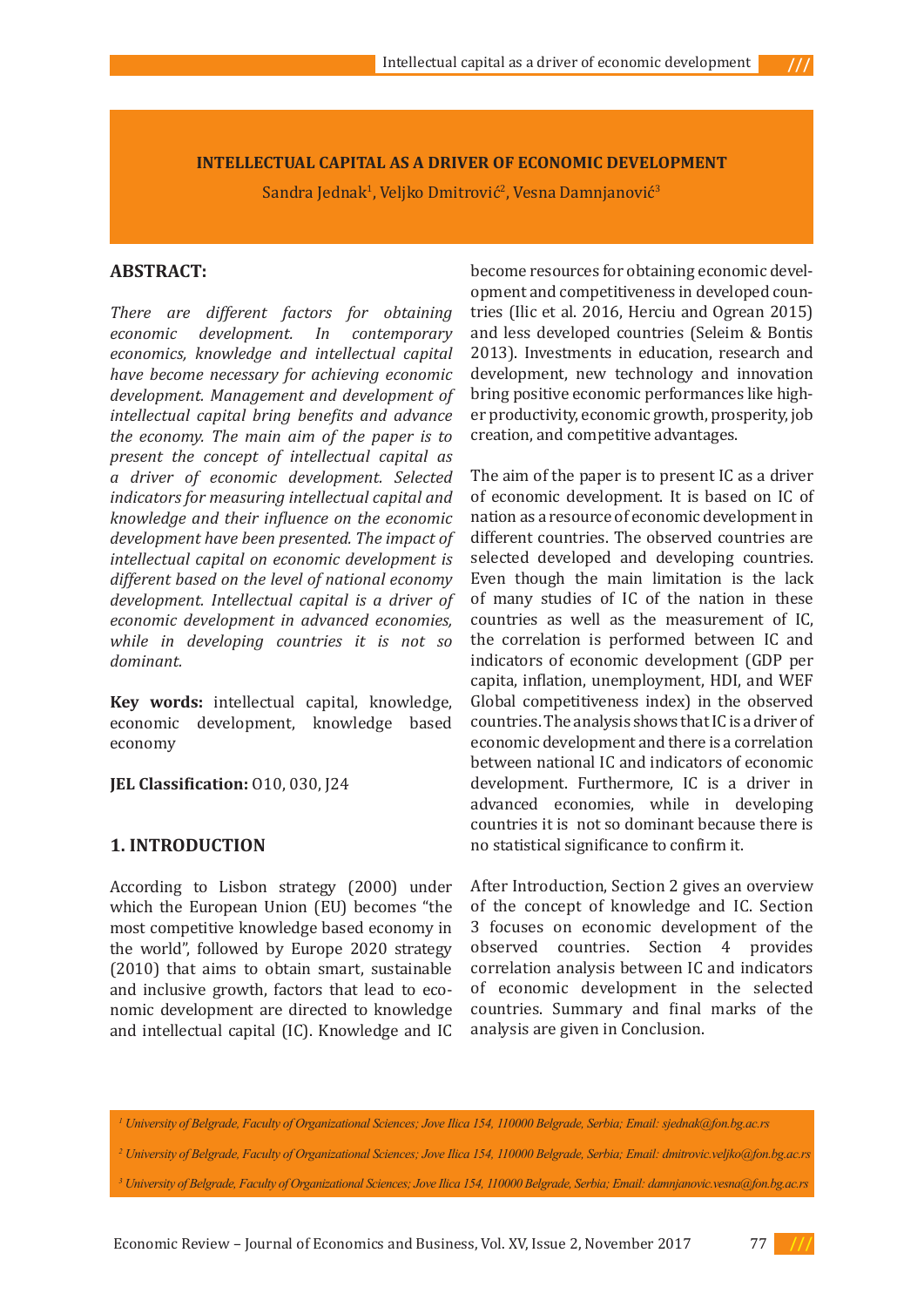#### **INTELLECTUAL CAPITAL AS A DRIVER OF ECONOMIC DEVELOPMENT**

Sandra Jednak<sup>1</sup>, Veljko Dmitrović<sup>2</sup>, Vesna Damnjanović<sup>3</sup>

### **ABSTRACT:**

*There are different factors for obtaining economic development. In contemporary economics, knowledge and intellectual capital have become necessary for achieving economic development. Management and development of intellectual capital bring benefits and advance the economy. The main aim of the paper is to present the concept of intellectual capital as a driver of economic development. Selected indicators for measuring intellectual capital and knowledge and their influence on the economic development have been presented. The impact of intellectual capital on economic development is different based on the level of national economy development. Intellectual capital is a driver of economic development in advanced economies, while in developing countries it is not so dominant.* 

**Key words:** intellectual capital, knowledge, economic development, knowledge based economy

**JEL Classification:** O10, 030, J24

# **1. INTRODUCTION**

According to Lisbon strategy (2000) under which the European Union (EU) becomes "the most competitive knowledge based economy in the world", followed by Europe 2020 strategy (2010) that aims to obtain smart, sustainable and inclusive growth, factors that lead to economic development are directed to knowledge and intellectual capital (IC). Knowledge and IC

become resources for obtaining economic development and competitiveness in developed countries (Ilic et al. 2016, Herciu and Ogrean 2015) and less developed countries (Seleim & Bontis 2013). Investments in education, research and development, new technology and innovation bring positive economic performances like higher productivity, economic growth, prosperity, job creation, and competitive advantages.

The aim of the paper is to present IC as a driver of economic development. It is based on IC of nation as a resource of economic development in different countries. The observed countries are selected developed and developing countries. Even though the main limitation is the lack of many studies of IC of the nation in these countries as well as the measurement of IC, the correlation is performed between IC and indicators of economic development (GDP per capita, inflation, unemployment, HDI, and WEF Global competitiveness index) in the observed countries. The analysis shows that IC is a driver of economic development and there is a correlation between national IC and indicators of economic development. Furthermore, IC is a driver in advanced economies, while in developing countries it is not so dominant because there is no statistical significance to confirm it.

After Introduction, Section 2 gives an overview of the concept of knowledge and IC. Section 3 focuses on economic development of the observed countries. Section 4 provides correlation analysis between IC and indicators of economic development in the selected countries. Summary and final marks of the analysis are given in Conclusion.

*1 University of Belgrade, Faculty of Organizational Sciences; Jove Ilica 154, 110000 Belgrade, Serbia; Email: sjednak@fon.bg.ac.rs* 

*2 University of Belgrade, Faculty of Organizational Sciences; Jove Ilica 154, 110000 Belgrade, Serbia; Email: dmitrovic.veljko@fon.bg.ac.rs* 

*3 University of Belgrade, Faculty of Organizational Sciences; Jove Ilica 154, 110000 Belgrade, Serbia; Email: damnjanovic.vesna@fon.bg.ac.rs*

Economic Review – Journal of Economics and Business, Vol. XV, Issue 2, November 2017 77

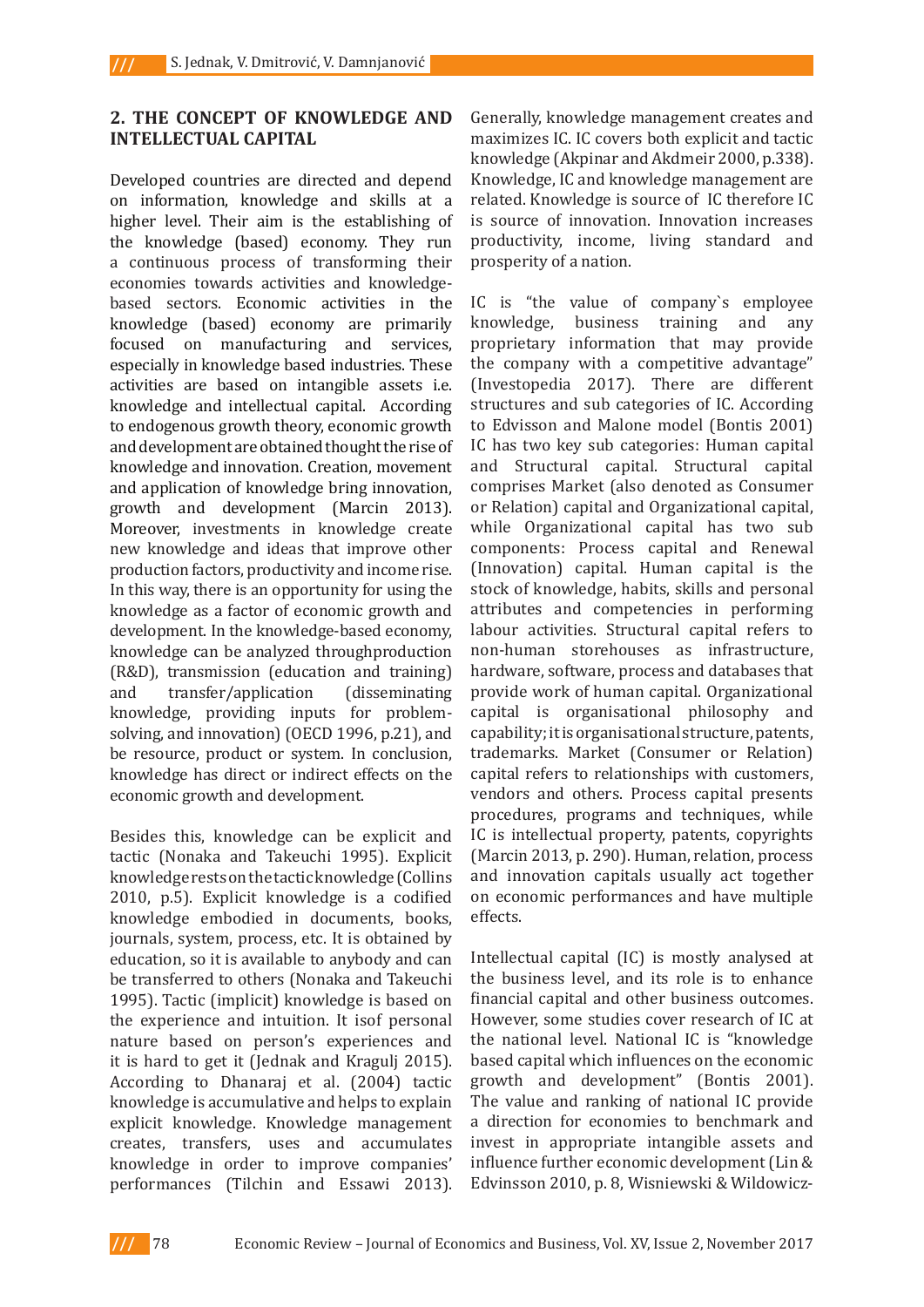# **2. THE CONCEPT OF KNOWLEDGE AND INTELLECTUAL CAPITAL**

Developed countries are directed and depend on information, knowledge and skills at a higher level. Their aim is the establishing of the knowledge (based) economy. They run a continuous process of transforming their economies towards activities and knowledgebased sectors. Economic activities in the knowledge (based) economy are primarily focused on manufacturing and services, especially in knowledge based industries. These activities are based on intangible assets i.e. knowledge and intellectual capital. According to endogenous growth theory, economic growth and development are obtained thought the rise of knowledge and innovation. Creation, movement and application of knowledge bring innovation, growth and development (Marcin 2013). Moreover, investments in knowledge create new knowledge and ideas that improve other production factors, productivity and income rise. In this way, there is an opportunity for using the knowledge as a factor of economic growth and development. In the knowledge-based economy, knowledge can be analyzed throughproduction (R&D), transmission (education and training) and transfer/application (disseminating knowledge, providing inputs for problemsolving, and innovation) (OECD 1996, p.21), and be resource, product or system. In conclusion, knowledge has direct or indirect effects on the economic growth and development.

Besides this, knowledge can be explicit and tactic (Nonaka and Takeuchi 1995). Explicit knowledge rests on the tactic knowledge (Collins 2010, p.5). Explicit knowledge is a codified knowledge embodied in documents, books, journals, system, process, etc. It is obtained by education, so it is available to anybody and can be transferred to others (Nonaka and Takeuchi 1995). Tactic (implicit) knowledge is based on the experience and intuition. It isof personal nature based on person's experiences and it is hard to get it (Jednak and Kragulj 2015). According to Dhanaraj et al. (2004) tactic knowledge is accumulative and helps to explain explicit knowledge. Knowledge management creates, transfers, uses and accumulates knowledge in order to improve companies' performances (Tilchin and Essawi 2013). Generally, knowledge management creates and maximizes IC. IC covers both explicit and tactic knowledge (Akpinar and Akdmeir 2000, p.338). Knowledge, IC and knowledge management are related. Knowledge is source of IC therefore IC is source of innovation. Innovation increases productivity, income, living standard and prosperity of a nation.

IC is "the value of company's employee<br>knowledge. business training and any knowledge, business training and any proprietary information that may provide the company with a competitive advantage" (Investopedia 2017). There are different structures and sub categories of IC. According to Edvisson and Malone model (Bontis 2001) IC has two key sub categories: Human capital and Structural capital. Structural capital comprises Market (also denoted as Consumer or Relation) capital and Organizational capital, while Organizational capital has two sub components: Process capital and Renewal (Innovation) capital. Human capital is the stock of knowledge, habits, skills and personal attributes and competencies in performing labour activities. Structural capital refers to non-human storehouses as infrastructure, hardware, software, process and databases that provide work of human capital. Organizational capital is organisational philosophy and capability; it is organisational structure, patents, trademarks. Market (Consumer or Relation) capital refers to relationships with customers, vendors and others. Process capital presents procedures, programs and techniques, while IC is intellectual property, patents, copyrights (Marcin 2013, p. 290). Human, relation, process and innovation capitals usually act together on economic performances and have multiple effects.

Intellectual capital (IC) is mostly analysed at the business level, and its role is to enhance financial capital and other business outcomes. However, some studies cover research of IC at the national level. National IC is "knowledge based capital which influences on the economic growth and development" (Bontis 2001). The value and ranking of national IC provide a direction for economies to benchmark and invest in appropriate intangible assets and influence further economic development (Lin & Edvinsson 2010, p. 8, Wisniewski & Wildowicz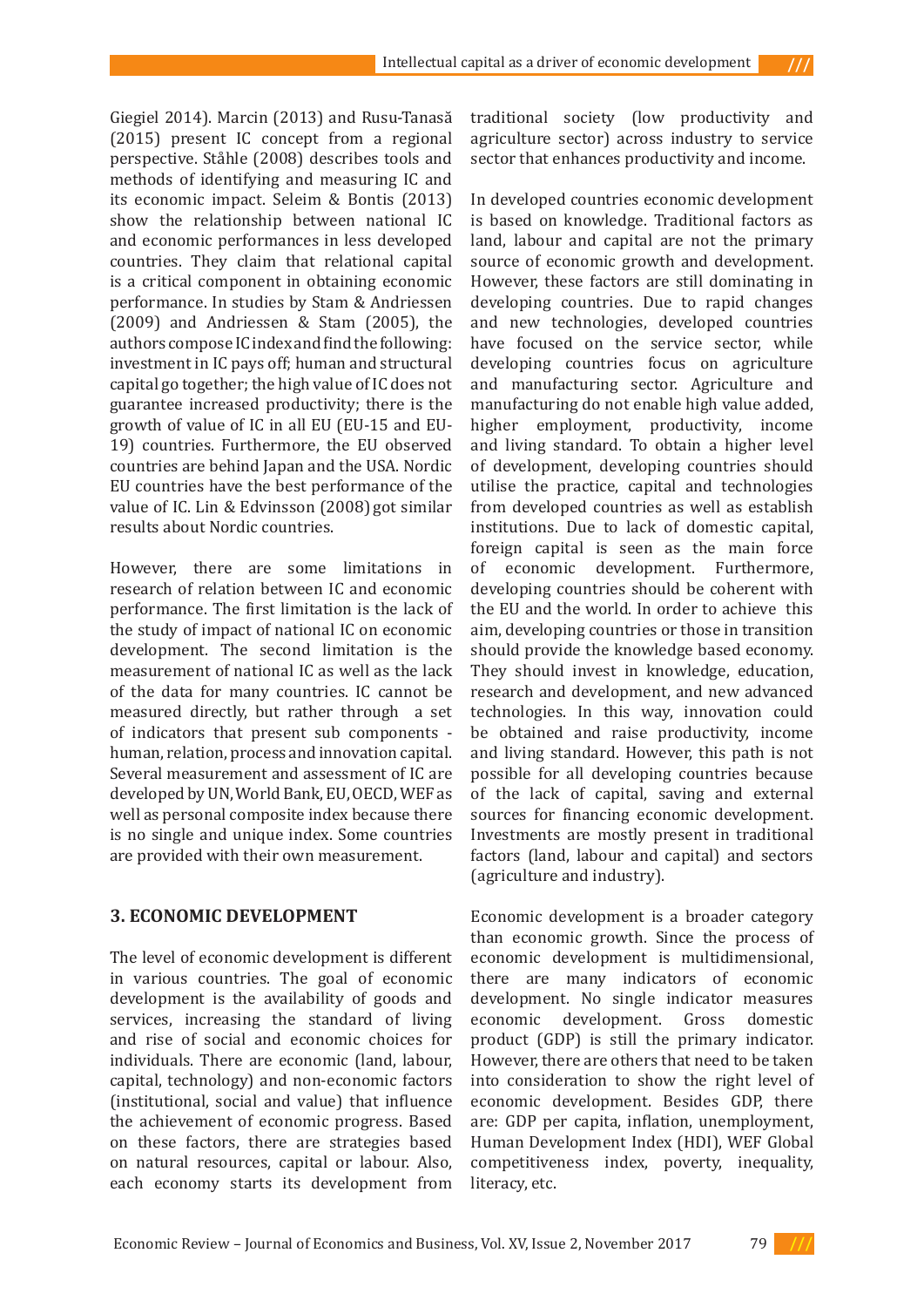Giegiel 2014). Marcin (2013) and Rusu-Tanasă (2015) present IC concept from a regional perspective. Ståhle (2008) describes tools and methods of identifying and measuring IC and its economic impact. Seleim & Bontis (2013) show the relationship between national IC and economic performances in less developed countries. They claim that relational capital is a critical component in obtaining economic performance. In studies by Stam & Andriessen (2009) and Andriessen & Stam (2005), the authors compose IC index and find the following: investment in IC pays off; human and structural capital go together; the high value of IC does not guarantee increased productivity; there is the growth of value of IC in all EU (EU-15 and EU-19) countries. Furthermore, the EU observed countries are behind Japan and the USA. Nordic EU countries have the best performance of the value of IC. Lin & Edvinsson (2008) got similar results about Nordic countries.

However, there are some limitations in research of relation between IC and economic performance. The first limitation is the lack of the study of impact of national IC on economic development. The second limitation is the measurement of national IC as well as the lack of the data for many countries. IC cannot be measured directly, but rather through a set of indicators that present sub components human, relation, process and innovation capital. Several measurement and assessment of IC are developed by UN, World Bank, EU, OECD, WEF as well as personal composite index because there is no single and unique index. Some countries are provided with their own measurement.

# **3. ECONOMIC DEVELOPMENT**

The level of economic development is different in various countries. The goal of economic development is the availability of goods and services, increasing the standard of living and rise of social and economic choices for individuals. There are economic (land, labour, capital, technology) and non-economic factors (institutional, social and value) that influence the achievement of economic progress. Based on these factors, there are strategies based on natural resources, capital or labour. Also, each economy starts its development from

traditional society (low productivity and agriculture sector) across industry to service sector that enhances productivity and income.

In developed countries economic development is based on knowledge. Traditional factors as land, labour and capital are not the primary source of economic growth and development. However, these factors are still dominating in developing countries. Due to rapid changes and new technologies, developed countries have focused on the service sector, while developing countries focus on agriculture and manufacturing sector. Agriculture and manufacturing do not enable high value added, higher employment, productivity, income and living standard. To obtain a higher level of development, developing countries should utilise the practice, capital and technologies from developed countries as well as establish institutions. Due to lack of domestic capital, foreign capital is seen as the main force of economic development. Furthermore, developing countries should be coherent with the EU and the world. In order to achieve this aim, developing countries or those in transition should provide the knowledge based economy. They should invest in knowledge, education, research and development, and new advanced technologies. In this way, innovation could be obtained and raise productivity, income and living standard. However, this path is not possible for all developing countries because of the lack of capital, saving and external sources for financing economic development. Investments are mostly present in traditional factors (land, labour and capital) and sectors (agriculture and industry).

Economic development is a broader category than economic growth. Since the process of economic development is multidimensional, there are many indicators of economic development. No single indicator measures<br>economic development. Gross domestic economic development. Gross domestic product (GDP) is still the primary indicator. However, there are others that need to be taken into consideration to show the right level of economic development. Besides GDP, there are: GDP per capita, inflation, unemployment, Human Development Index (HDI), WEF Global competitiveness index, poverty, inequality, literacy, etc.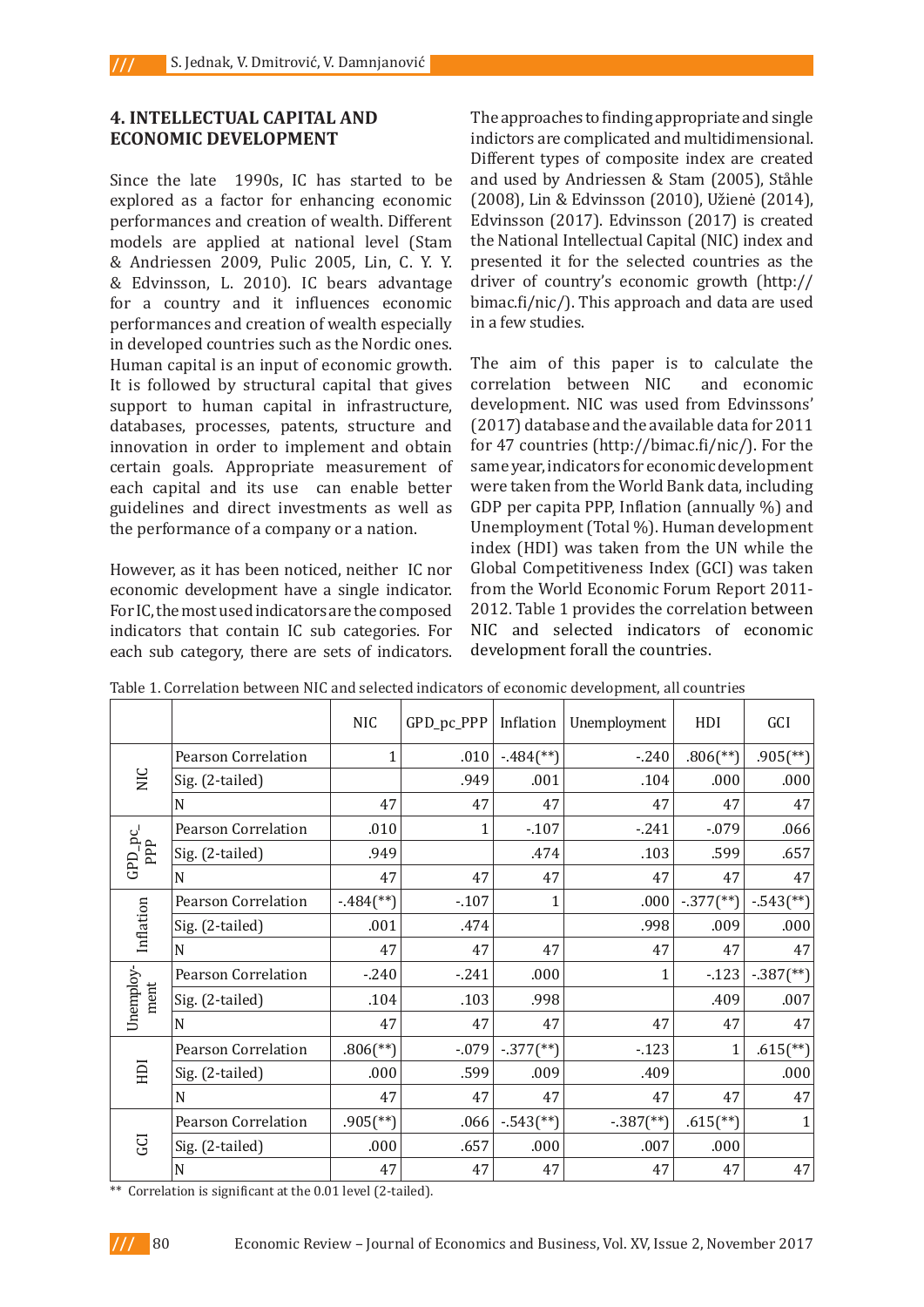### **4. INTELLECTUAL CAPITAL AND ECONOMIC DEVELOPMENT**

Since the late 1990s, IC has started to be explored as a factor for enhancing economic performances and creation of wealth. Different models are applied at national level (Stam & Andriessen 2009, Pulic 2005, Lin, C. Y. Y. & Edvinsson, L. 2010). IC bears advantage for a country and it influences economic performances and creation of wealth especially in developed countries such as the Nordic ones. Human capital is an input of economic growth. It is followed by structural capital that gives support to human capital in infrastructure, databases, processes, patents, structure and innovation in order to implement and obtain certain goals. Appropriate measurement of each capital and its use can enable better guidelines and direct investments as well as the performance of a company or a nation.

However, as it has been noticed, neither IC nor economic development have a single indicator. For IC, the most used indicators are the composed indicators that contain IC sub categories. For each sub category, there are sets of indicators. The approaches to finding appropriate and single indictors are complicated and multidimensional. Different types of composite index are created and used by Andriessen & Stam (2005), Ståhle (2008), Lin & Edvinsson (2010), Užienė (2014), Edvinsson (2017). Edvinsson (2017) is created the National Intellectual Capital (NIC) index and presented it for the selected countries as the driver of country's economic growth (http:// bimac.fi/nic/). This approach and data are used in a few studies.

The aim of this paper is to calculate the correlation between NIC and economic correlation between NIC development. NIC was used from Edvinssons' (2017) database and the available data for 2011 for 47 countries (http://bimac.fi/nic/). For the same year, indicators for economic development were taken from the World Bank data, including GDP per capita PPP, Inflation (annually %) and Unemployment (Total %). Human development index (HDI) was taken from the UN while the Global Competitiveness Index (GCI) was taken from the World Economic Forum Report 2011- 2012. Table 1 provides the correlation between NIC and selected indicators of economic development forall the countries.

|                               |                            | <b>NIC</b>               | GPD_pc_PPP | Inflation                 | Unemployment             | HDI                       | GCI                     |
|-------------------------------|----------------------------|--------------------------|------------|---------------------------|--------------------------|---------------------------|-------------------------|
| NIC                           | <b>Pearson Correlation</b> | $\mathbf{1}$             | .010       | $-484$ <sup>(**)</sup> )  | $-240$                   | $.806$ <sup>(**)</sup> )  | $.905$ <sup>(**)</sup>  |
|                               | Sig. (2-tailed)            |                          | .949       | .001                      | .104                     | .000                      | .000                    |
|                               | N                          | 47                       | 47         | 47                        | 47                       | 47                        | 47                      |
| $GPD\_pc$ <sub>-</sub><br>PPP | <b>Pearson Correlation</b> | .010                     | 1          | $-107$                    | $-241$                   | $-079$                    | .066                    |
|                               | Sig. (2-tailed)            | .949                     |            | .474                      | .103                     | .599                      | .657                    |
|                               | N                          | 47                       | 47         | 47                        | 47                       | 47                        | 47                      |
|                               | Pearson Correlation        | $-484$ <sup>(**)</sup> ) | $-107$     | 1                         | .000                     | $-.377$ <sup>(**)</sup> ) | $-543$ <sup>**</sup> )  |
| Inflation                     | Sig. (2-tailed)            | .001                     | .474       |                           | .998                     | .009                      | .000                    |
|                               | N                          | 47                       | 47         | 47                        | 47                       | 47                        | 47                      |
| Unemploy-<br>ment             | <b>Pearson Correlation</b> | $-240$                   | $-241$     | .000                      | 1                        | $-123$                    | $-.387$ <sup>**</sup> ) |
|                               | Sig. (2-tailed)            | .104                     | .103       | .998                      |                          | .409                      | .007                    |
|                               | N                          | 47                       | 47         | 47                        | 47                       | 47                        | 47                      |
| E                             | <b>Pearson Correlation</b> | $.806$ <sup>(**)</sup> ) | $-079$     | $-.377$ <sup>(**)</sup> ) | $-123$                   | $\mathbf{1}$              | $.615$ <sup>**</sup> )  |
|                               | Sig. (2-tailed)            | .000                     | .599       | .009                      | .409                     |                           | .000                    |
|                               | N                          | 47                       | 47         | 47                        | 47                       | 47                        | 47                      |
| g                             | <b>Pearson Correlation</b> | $.905$ <sup>(**)</sup> ) | .066       | $-.543$ <sup>**</sup> )   | $-0.387$ <sup>**</sup> ) | $.615$ <sup>**</sup> )    | 1                       |
|                               | Sig. (2-tailed)            | .000                     | .657       | .000                      | .007                     | .000                      |                         |
|                               | N                          | 47                       | 47         | 47                        | 47                       | 47                        | 47                      |

Table 1. Correlation between NIC and selected indicators of economic development, all countries

\*\* Correlation is significant at the 0.01 level (2-tailed).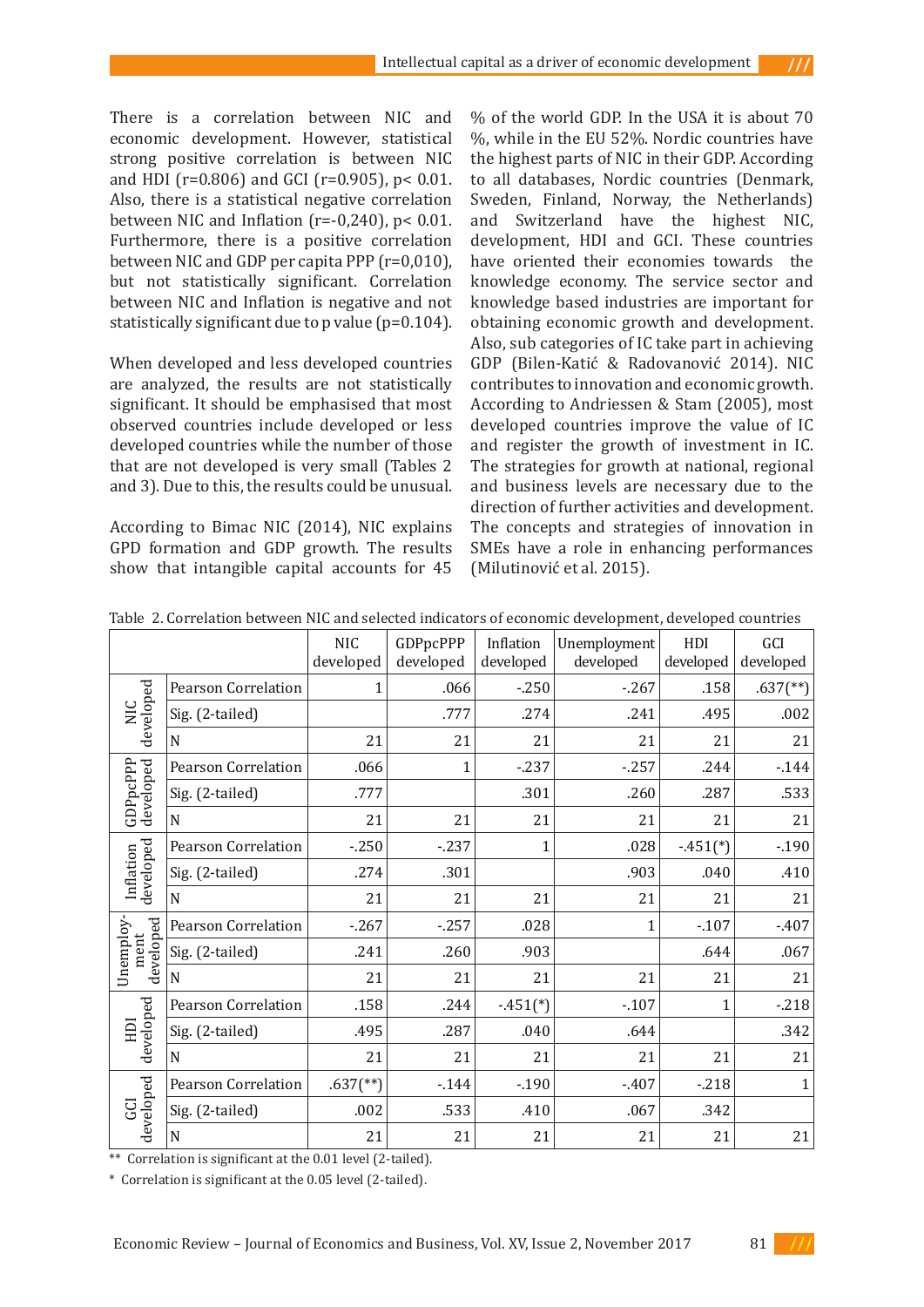There is a correlation between NIC and economic development. However, statistical strong positive correlation is between NIC and HDI (r=0.806) and GCI (r=0.905), p< 0.01. Also, there is a statistical negative correlation between NIC and Inflation (r=-0,240), p< 0.01. Furthermore, there is a positive correlation between NIC and GDP per capita PPP (r=0,010), but not statistically significant. Correlation between NIC and Inflation is negative and not statistically significant due to p value (p=0.104).

When developed and less developed countries are analyzed, the results are not statistically significant. It should be emphasised that most observed countries include developed or less developed countries while the number of those that are not developed is very small (Tables 2 and 3). Due to this, the results could be unusual.

According to Bimac NIC (2014), NIC explains GPD formation and GDP growth. The results show that intangible capital accounts for 45 % of the world GDP. In the USA it is about 70 %, while in the EU 52%. Nordic countries have the highest parts of NIC in their GDP. According to all databases, Nordic countries (Denmark, Sweden, Finland, Norway, the Netherlands) and Switzerland have the highest NIC, development, HDI and GCI. These countries have oriented their economies towards the knowledge economy. The service sector and knowledge based industries are important for obtaining economic growth and development. Also, sub categories of IC take part in achieving GDP (Bilen-Katić & Radovanović 2014). NIC contributes to innovation and economic growth. According to Andriessen & Stam (2005), most developed countries improve the value of IC and register the growth of investment in IC. The strategies for growth at national, regional and business levels are necessary due to the direction of further activities and development. The concepts and strategies of innovation in SMEs have a role in enhancing performances (Milutinović et al. 2015).

|                                |                            | <b>NIC</b><br>developed  | GDPpcPPP<br>developed | Inflation<br>developed | Unemployment<br>developed | HDI<br>developed | GCI<br>developed         |
|--------------------------------|----------------------------|--------------------------|-----------------------|------------------------|---------------------------|------------------|--------------------------|
| developed<br><b>NIC</b>        | <b>Pearson Correlation</b> | 1                        | .066                  | $-250$                 | $-267$                    | .158             | $.637$ <sup>(**)</sup> ) |
|                                | Sig. (2-tailed)            |                          | .777                  | .274                   | .241                      | .495             | .002                     |
|                                | $\overline{N}$             | 21                       | 21                    | 21                     | 21                        | 21               | 21                       |
| GDPpcPPP<br>developed          | <b>Pearson Correlation</b> | .066                     | 1                     | $-237$                 | $-257$                    | .244             | $-144$                   |
|                                | Sig. (2-tailed)            | .777                     |                       | .301                   | .260                      | .287             | .533                     |
|                                | N                          | 21                       | 21                    | 21                     | 21                        | 21               | 21                       |
| Inflation<br>developed         | <b>Pearson Correlation</b> | $-250$                   | $-237$                | 1                      | .028                      | $-451(*)$        | $-190$                   |
|                                | Sig. (2-tailed)            | .274                     | .301                  |                        | .903                      | .040             | .410                     |
|                                | N                          | 21                       | 21                    | 21                     | 21                        | 21               | 21                       |
| Unemploy-<br>developed<br>ment | <b>Pearson Correlation</b> | $-267$                   | $-257$                | .028                   | 1                         | $-107$           | $-407$                   |
|                                | Sig. (2-tailed)            | .241                     | .260                  | .903                   |                           | .644             | .067                     |
|                                | $\overline{N}$             | 21                       | 21                    | 21                     | 21                        | 21               | 21                       |
| developed<br>ПЩ                | <b>Pearson Correlation</b> | .158                     | .244                  | $-451(*)$              | $-107$                    | 1                | $-218$                   |
|                                | Sig. (2-tailed)            | .495                     | .287                  | .040                   | .644                      |                  | .342                     |
|                                | N                          | 21                       | 21                    | 21                     | 21                        | 21               | 21                       |
| developed<br>GCI               | <b>Pearson Correlation</b> | $.637$ <sup>(**)</sup> ) | $-144$                | $-190$                 | $-407$                    | $-218$           | 1                        |
|                                | Sig. (2-tailed)            | .002                     | .533                  | .410                   | .067                      | .342             |                          |
|                                | $\overline{N}$             | 21                       | 21                    | 21                     | 21                        | 21               | 21                       |

Table 2. Correlation between NIC and selected indicators of economic development, developed countries

\*\* Correlation is significant at the 0.01 level (2-tailed).

\* Correlation is significant at the 0.05 level (2-tailed).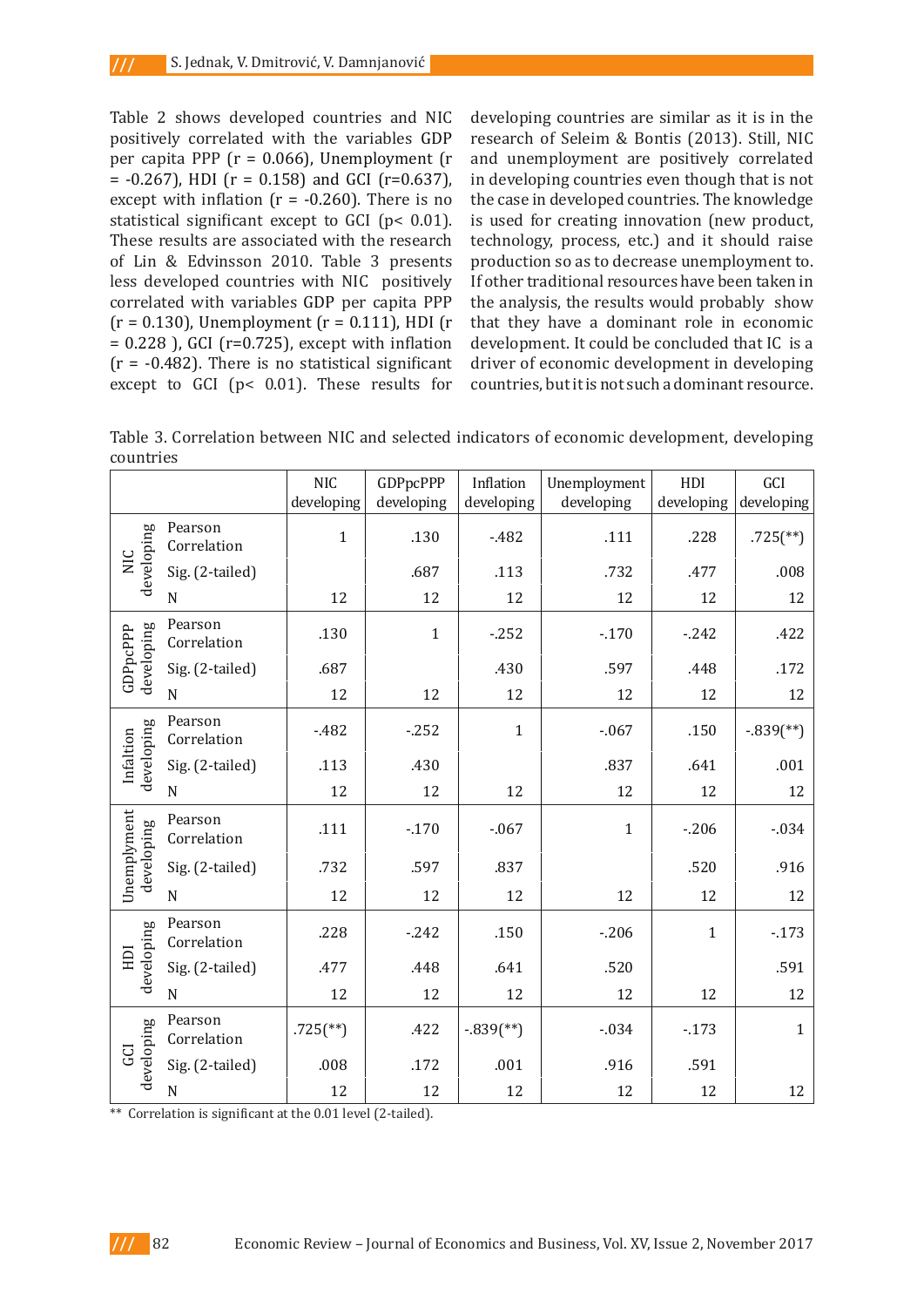Table 2 shows developed countries and NIC positively correlated with the variables GDP per capita PPP (r = 0.066), Unemployment (r  $= -0.267$ , HDI (r = 0.158) and GCI (r=0.637), except with inflation  $(r = -0.260)$ . There is no statistical significant except to GCI (p< 0.01). These results are associated with the research of Lin & Edvinsson 2010. Table 3 presents less developed countries with NIC positively correlated with variables GDP per capita PPP  $(r = 0.130)$ , Unemployment  $(r = 0.111)$ , HDI  $(r = 0.130)$  $= 0.228$  ), GCI (r=0.725), except with inflation  $(r = -0.482)$ . There is no statistical significant except to GCI (p< 0.01). These results for

developing countries are similar as it is in the research of Seleim & Bontis (2013). Still, NIC and unemployment are positively correlated in developing countries even though that is not the case in developed countries. The knowledge is used for creating innovation (new product, technology, process, etc.) and it should raise production so as to decrease unemployment to. If other traditional resources have been taken in the analysis, the results would probably show that they have a dominant role in economic development. It could be concluded that IC is a driver of economic development in developing countries, but it is not such a dominant resource.

Table 3. Correlation between NIC and selected indicators of economic development, developing countries

|                           |                        | <b>NIC</b>               | <b>GDPpcPPP</b> | Inflation                | Unemployment | HDI          | GCI                        |
|---------------------------|------------------------|--------------------------|-----------------|--------------------------|--------------|--------------|----------------------------|
|                           |                        | developing               | developing      | developing               | developing   | developing   | developing                 |
| developing<br>NIC         | Pearson<br>Correlation | $\mathbf{1}$             | .130            | $-482$                   | .111         | .228         | $.725$ <sup>(**)</sup> )   |
|                           | Sig. (2-tailed)        |                          | .687            | .113                     | .732         | .477         | .008                       |
|                           | $\overline{N}$         | 12                       | 12              | 12                       | 12           | 12           | 12                         |
| developing<br>GDPpcPPP    | Pearson<br>Correlation | .130                     | $\mathbf{1}$    | $-252$                   | $-170$       | $-242$       | .422                       |
|                           | Sig. (2-tailed)        | .687                     |                 | .430                     | .597         | .448         | .172                       |
|                           | $\overline{N}$         | 12                       | 12              | 12                       | 12           | 12           | 12                         |
| developing<br>Infaltion   | Pearson<br>Correlation | $-482$                   | $-252$          | $\mathbf{1}$             | $-067$       | .150         | $-0.839$ <sup>(**)</sup> ) |
|                           | Sig. (2-tailed)        | .113                     | .430            |                          | .837         | .641         | .001                       |
|                           | $\mathbf N$            | 12                       | 12              | 12                       | 12           | 12           | 12                         |
| Unemplyment<br>developing | Pearson<br>Correlation | .111                     | $-170$          | $-067$                   | $\mathbf{1}$ | $-206$       | $-034$                     |
|                           | Sig. (2-tailed)        | .732                     | .597            | .837                     |              | .520         | .916                       |
|                           | $\mathbf N$            | 12                       | 12              | 12                       | 12           | 12           | 12                         |
| developing<br>HDI         | Pearson<br>Correlation | .228                     | $-242$          | .150                     | $-206$       | $\mathbf{1}$ | $-173$                     |
|                           | Sig. (2-tailed)        | .477                     | .448            | .641                     | .520         |              | .591                       |
|                           | $\mathbf N$            | 12                       | 12              | 12                       | 12           | 12           | 12                         |
| developing<br>GCI         | Pearson<br>Correlation | $.725$ <sup>(**)</sup> ) | .422            | $-0.839$ <sup>**</sup> ) | $-034$       | $-173$       | $\mathbf{1}$               |
|                           | Sig. (2-tailed)        | .008                     | .172            | .001                     | .916         | .591         |                            |
|                           | $\mathbf N$            | 12                       | 12              | 12                       | 12           | 12           | 12                         |

\*\* Correlation is significant at the 0.01 level (2-tailed).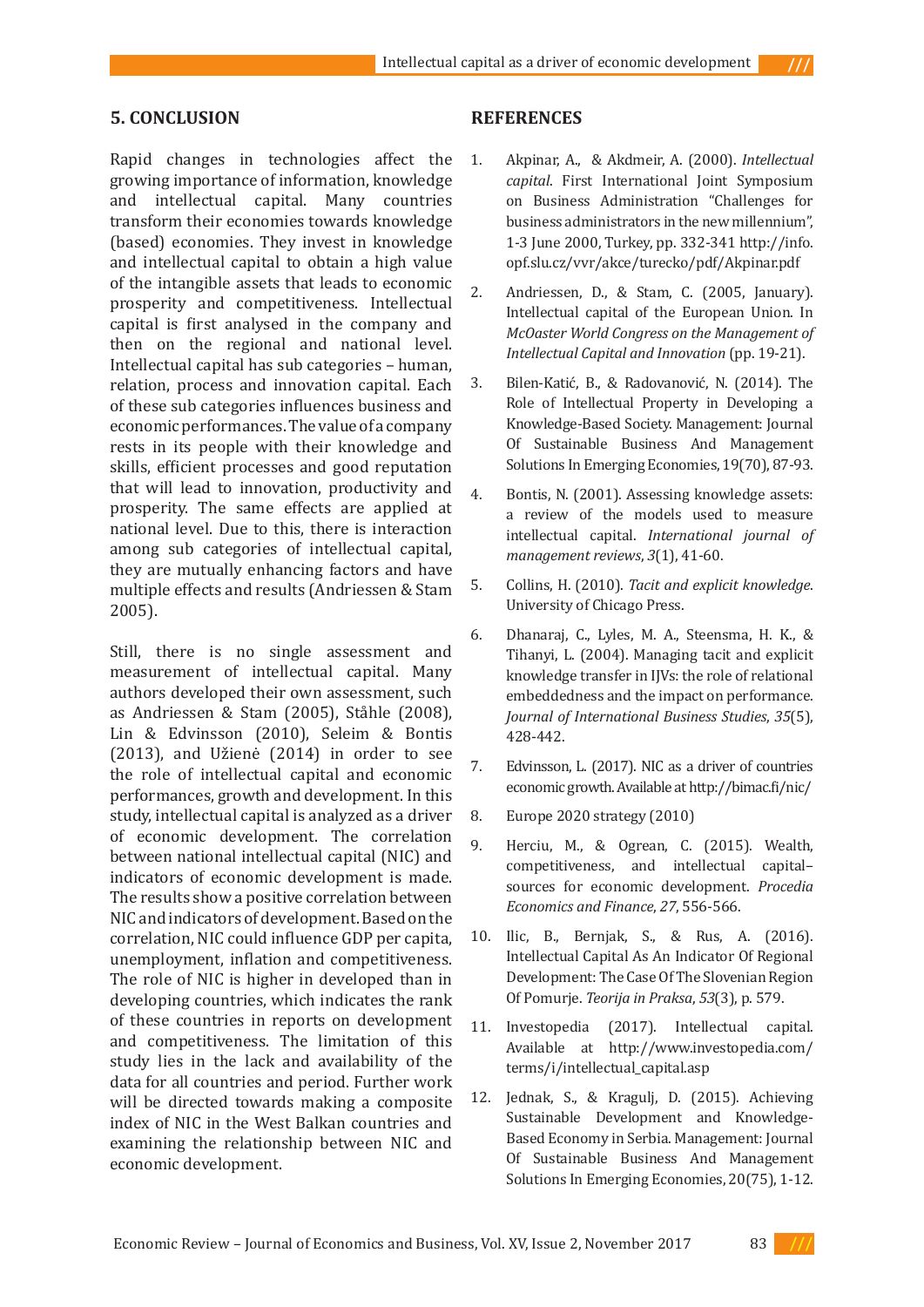### **5. CONCLUSION**

Rapid changes in technologies affect the growing importance of information, knowledge and intellectual capital. Many countries transform their economies towards knowledge (based) economies. They invest in knowledge and intellectual capital to obtain a high value of the intangible assets that leads to economic prosperity and competitiveness. Intellectual capital is first analysed in the company and then on the regional and national level. Intellectual capital has sub categories – human, relation, process and innovation capital. Each of these sub categories influences business and economic performances. The value of a company rests in its people with their knowledge and skills, efficient processes and good reputation that will lead to innovation, productivity and prosperity. The same effects are applied at national level. Due to this, there is interaction among sub categories of intellectual capital, they are mutually enhancing factors and have multiple effects and results (Andriessen & Stam 2005).

Still, there is no single assessment and measurement of intellectual capital. Many authors developed their own assessment, such as Andriessen & Stam (2005), Ståhle (2008), Lin & Edvinsson (2010), Seleim & Bontis (2013), and Užienė (2014) in order to see the role of intellectual capital and economic performances, growth and development. In this study, intellectual capital is analyzed as a driver of economic development. The correlation between national intellectual capital (NIC) and indicators of economic development is made. The results show a positive correlation between NIC and indicators of development. Based on the correlation, NIC could influence GDP per capita, unemployment, inflation and competitiveness. The role of NIC is higher in developed than in developing countries, which indicates the rank of these countries in reports on development and competitiveness. The limitation of this study lies in the lack and availability of the data for all countries and period. Further work will be directed towards making a composite index of NIC in the West Balkan countries and examining the relationship between NIC and economic development.

#### **REFERENCES**

- 1. Akpinar, A., & Akdmeir, A. (2000). *Intellectual capital*. First International Joint Symposium on Business Administration "Challenges for business administrators in the new millennium", 1-3 June 2000, Turkey, pp. 332-341 http://info. opf.slu.cz/vvr/akce/turecko/pdf/Akpinar.pdf
- 2. Andriessen, D., & Stam, C. (2005, January). Intellectual capital of the European Union. In *McOaster World Congress on the Management of Intellectual Capital and Innovation* (pp. 19-21).
- 3. Bilen-Katić, B., & Radovanović, N. (2014). The Role of Intellectual Property in Developing a Knowledge-Based Society. Management: Journal Of Sustainable Business And Management Solutions In Emerging Economies, 19(70), 87-93.
- 4. Bontis, N. (2001). Assessing knowledge assets: a review of the models used to measure intellectual capital. *International journal of management reviews*, *3*(1), 41-60.
- 5. Collins, H. (2010). *Tacit and explicit knowledge*. University of Chicago Press.
- 6. Dhanaraj, C., Lyles, M. A., Steensma, H. K., & Tihanyi, L. (2004). Managing tacit and explicit knowledge transfer in IJVs: the role of relational embeddedness and the impact on performance. *Journal of International Business Studies*, *35*(5), 428-442.
- 7. Edvinsson, L. (2017). NIC as a driver of countries economic growth. Available at http://bimac.fi/nic/
- 8. Europe 2020 strategy (2010)
- 9. Herciu, M., & Ogrean, C. (2015). Wealth, competitiveness, and intellectual capital– sources for economic development. *Procedia Economics and Finance*, *27*, 556-566.
- 10. Ilic, B., Bernjak, S., & Rus, A. (2016). Intellectual Capital As An Indicator Of Regional Development: The Case Of The Slovenian Region Of Pomurje. *Teorija in Praksa*, *53*(3), p. 579.
- 11. Investopedia (2017). Intellectual capital. Available at http://www.investopedia.com/ terms/i/intellectual\_capital.asp
- 12. Jednak, S., & Kragulj, D. (2015). Achieving Sustainable Development and Knowledge-Based Economy in Serbia. Management: Journal Of Sustainable Business And Management Solutions In Emerging Economies, 20(75), 1-12.

Economic Review – Journal of Economics and Business, Vol. XV, Issue 2, November 2017 83 **///**